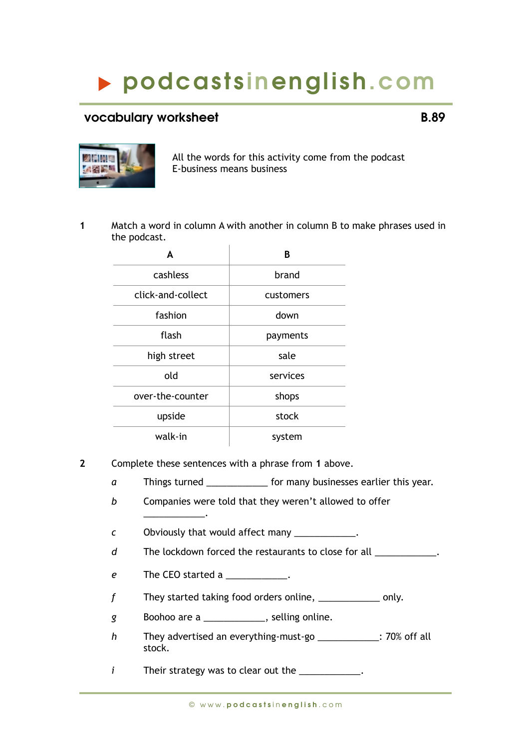## podcasts inenglish.com

## vocabulary worksheet **B.89**



All the words for this activity come from the podcast E-business means business

**1** Match a word in column A with another in column B to make phrases used in the podcast.

| A                 | B         |
|-------------------|-----------|
| cashless          | brand     |
| click-and-collect | customers |
| fashion           | down      |
| flash             | payments  |
| high street       | sale      |
| old               | services  |
| over-the-counter  | shops     |
| upside            | stock     |
| walk-in           | system    |

- **2** Complete these sentences with a phrase from **1** above.
	- *a* Things turned \_\_\_\_\_\_\_\_\_\_\_\_\_ for many businesses earlier this year.
	- *b* Companies were told that they weren't allowed to offer \_\_\_\_\_\_\_\_\_\_\_\_.
	- *c* Obviously that would affect many
	- d The lockdown forced the restaurants to close for all \_\_\_\_\_\_\_\_\_\_\_\_.
	- *e* The CEO started a \_\_\_\_\_\_\_\_\_\_\_\_.
	- *f* They started taking food orders online, \_\_\_\_\_\_\_\_\_\_\_\_\_\_ only.
	- *g* Boohoo are a \_\_\_\_\_\_\_\_\_\_\_\_, selling online.
	- *h* They advertised an everything-must-go \_\_\_\_\_\_\_\_\_\_\_\_: 70% off all stock.

*i* Their strategy was to clear out the \_\_\_\_\_\_\_\_\_\_\_\_.